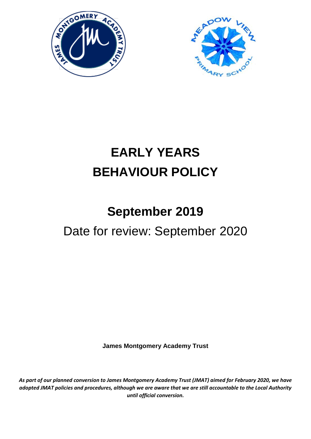



## **EARLY YEARS BEHAVIOUR POLICY**

# **September 2019** Date for review: September 2020

**James Montgomery Academy Trust**

*As part of our planned conversion to James Montgomery Academy Trust (JMAT) aimed for February 2020, we have adopted JMAT policies and procedures, although we are aware that we are still accountable to the Local Authority until official conversion.*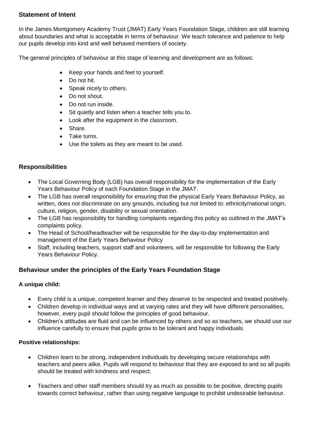## **Statement of Intent**

In the James Montgomery Academy Trust (JMAT) Early Years Foundation Stage, children are still learning about boundaries and what is acceptable in terms of behaviour. We teach tolerance and patience to help our pupils develop into kind and well behaved members of society.

The general principles of behaviour at this stage of learning and development are as follows:

- Keep your hands and feet to yourself.
- Do not hit.
- Speak nicely to others.
- Do not shout.
- Do not run inside.
- Sit quietly and listen when a teacher tells you to.
- Look after the equipment in the classroom.
- Share.
- Take turns.
- Use the toilets as they are meant to be used.

## **Responsibilities**

- The Local Governing Body (LGB) has overall responsibility for the implementation of the Early Years Behaviour Policy of each Foundation Stage in the JMAT.
- The LGB has overall responsibility for ensuring that the physical Early Years Behaviour Policy, as written, does not discriminate on any grounds, including but not limited to: ethnicity/national origin, culture, religion, gender, disability or sexual orientation.
- The LGB has responsibility for handling complaints regarding this policy as outlined in the JMAT's complaints policy.
- The Head of School/headteacher will be responsible for the day-to-day implementation and management of the Early Years Behaviour Policy
- Staff, including teachers, support staff and volunteers, will be responsible for following the Early Years Behaviour Policy.

## **Behaviour under the principles of the Early Years Foundation Stage**

#### **A unique child:**

- Every child is a unique, competent learner and they deserve to be respected and treated positively.
- Children develop in individual ways and at varying rates and they will have different personalities, however, every pupil should follow the principles of good behaviour.
- Children's attitudes are fluid and can be influenced by others and so as teachers, we should use our influence carefully to ensure that pupils grow to be tolerant and happy individuals.

#### **Positive relationships:**

- Children learn to be strong, independent individuals by developing secure relationships with teachers and peers alike. Pupils will respond to behaviour that they are exposed to and so all pupils should be treated with kindness and respect.
- Teachers and other staff members should try as much as possible to be positive, directing pupils towards correct behaviour, rather than using negative language to prohibit undesirable behaviour.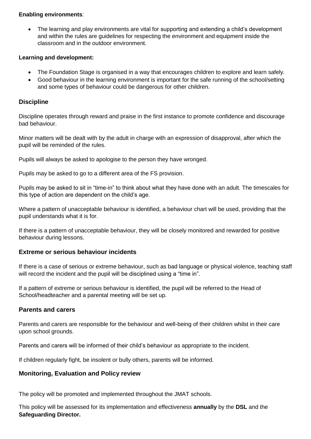#### **Enabling environments**:

 The learning and play environments are vital for supporting and extending a child's development and within the rules are guidelines for respecting the environment and equipment inside the classroom and in the outdoor environment.

#### **Learning and development:**

- The Foundation Stage is organised in a way that encourages children to explore and learn safely.
- Good behaviour in the learning environment is important for the safe running of the school/setting and some types of behaviour could be dangerous for other children.

#### **Discipline**

Discipline operates through reward and praise in the first instance to promote confidence and discourage bad behaviour.

Minor matters will be dealt with by the adult in charge with an expression of disapproval, after which the pupil will be reminded of the rules.

Pupils will always be asked to apologise to the person they have wronged.

Pupils may be asked to go to a different area of the FS provision.

Pupils may be asked to sit in "time-in" to think about what they have done with an adult. The timescales for this type of action are dependent on the child's age.

Where a pattern of unacceptable behaviour is identified, a behaviour chart will be used, providing that the pupil understands what it is for.

If there is a pattern of unacceptable behaviour, they will be closely monitored and rewarded for positive behaviour during lessons.

#### **Extreme or serious behaviour incidents**

If there is a case of serious or extreme behaviour, such as bad language or physical violence, teaching staff will record the incident and the pupil will be disciplined using a "time in".

If a pattern of extreme or serious behaviour is identified, the pupil will be referred to the Head of School/headteacher and a parental meeting will be set up.

#### **Parents and carers**

Parents and carers are responsible for the behaviour and well-being of their children whilst in their care upon school grounds.

Parents and carers will be informed of their child's behaviour as appropriate to the incident.

If children regularly fight, be insolent or bully others, parents will be informed.

#### **Monitoring, Evaluation and Policy review**

The policy will be promoted and implemented throughout the JMAT schools.

This policy will be assessed for its implementation and effectiveness **annually** by the **DSL** and the **Safeguarding Director.**